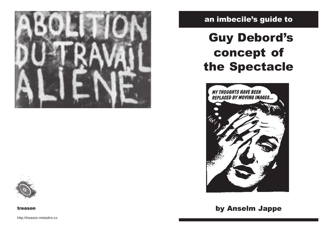

## an imbecile's guide to

# Guy Debord's concept of the Spectacle





treason

http://treason.metadns.cx

## by Anselm Jappe

1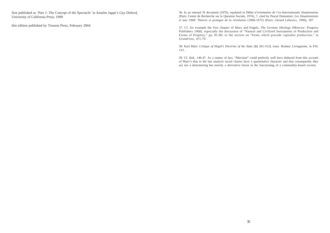first published as 'Part 1: The Concept of the Spectacle' in Anselm Jappe's *Guy Debord*, University of California Press, 1999

this edition published by Treason Press, February 2004

36. In an internal SI document (1970), reprinted in *Débat d'orientation de l'ex-Internationale Situationniste* (Paris: Centre de Recherche sur la Question Sociale, 1974), 7, cited by Pascal Dumontier, *Les Situationnistes et mai 1968: Tbéorie et pratigue de la révolution* (1966-1972) (Paris: Gérard Lebovici, 1990), 187.

37. Cf. for example the first chapter of Marx and Engels, *The German Ideology* (Moscow: Progress Publishers 1968), especially the discussion of "Natural and Civilized Instruments of Production and Forms of Property," pp. 81-86; or the section on "forms which precede capitalist production," in *Grundrisse*, 471-79.

38. Karl Marx *Critique of Hegel's Doctrine of the State (*§§ 261-313), trans. Rodney Livingstone, in EW, 141.

39. Cf. ibid., 146-47. As a matter of fact, "Marxism" could perfectly well have deduced from this account of Marx's that in the last analysis social classes have a *quantitative* character and that consequently they are not a determining but merely a derivative factor in the functioning of a commodity-based society.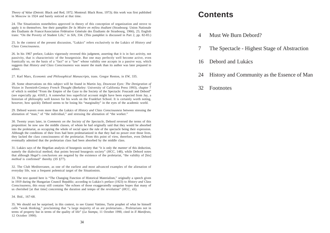*Theory of Value* (Detroit: Black and Red, 1972; Montreal: Black Rose, 1973); this work was first published in Moscow in 1924 and barely noticed at that time.

24. The Situationists nonetheless approved in theory of this conception of organization and strove to apply it to themselves. See their pamphlet *De la Misère en milieu étudiant* (Strasbourg: Union Nationale des Étudiants de France/Association Fédérative Générale des Étudiants de Strasbourg, 1966), 25; English trans: "On the Poverty of Student Life," in *SIA*, 334. (This pamphlet is discussed in Part 2, pp. 82-83.)

25. In the context of the present discussion, "Lukács" refers exclusively to the Lukács of *History and Class Consciousness*.

26. In his 1967 preface, Lukács vigorously reversed this judgment, asserting that it is in fact activity, not passivity, that is characteristic of the bourgeoisie. But one may perfectly well become active, even frantically so, on the basis of a "fact" or a "law" whose validity one accepts in a passive way, which suggests that *History and Class Consciousness* was nearer the mark than its author was later prepared to admit.

27. Karl Marx, *Economic and Philosophical Manuscripts*, trans. Gregor Renton, in *EW*, 335.

28. Some observations on this subject will be found in Martin Jay, *Downcast Eyes: The Denigration of Vision in Twentieth-Century French Thought* (Berkeley: University of California Press 1993), chapter 7 of which is entitled "From the Empire of the Gaze to the Society of the Spectacle: Foucault and Debord" (see especially pp. 416ff.). A somewhat less superficial account might have been expected from Jay, a historian of philosophy well known for his work on the Frankfurt School. It is certainly worth noting, however, how quickly Debord seems to be losing his "marginality" in the eyes of the academic world.

29. Debord wavers even more than the Lukács of *History and Class Consciousness* between stressing the alienation of "man," of "the individual," and stressing the alienation of "the worker."

30. Twenty years later, in *Comments on the Society of the Spectacle,* Debord reversed the terms of this proposition: he now saw the middle classes, of whom he had originally said that they would be absorbed into the proletariat, as occupying the whole of social space the rule of the spectacle being their expression. Although the conditions of their lives had been proletarianized in that they had no power over those lives, they lacked the class consciousness of the proletariat. From this point of view, therefore, even Debord eventually admitted that the proletarian class had been absorbed by the middle class.

31. Lukács says of the Hegelian analysis of bourgeois society that "it is only the *manner* of this deduction, namely the dialectical method, that points beyond bourgeois society" (*HCC*, 148), while Debord notes that although Hegel's *conclusions* are negated by the existence of the proletariat, "the validity of [his] *method* is confirmed" thereby (*SS* §77).

32. The Club Mediterranee, as one of the earliest and most advanced examples of the alienation of everyday life, was a frequent polemical target of the Situationists.

33. The text quoted here is "The Changing Function of Historical Materialism," originally a speech given in 1919 during the Hungarian Council Republic; according to Lukács's preface (1923) to *History and Class Consciousness,* this essay still contains "the echoes of those exaggeratedly sanguine hopes that many of us cherished [at that time] concerning the duration and tempo of the revolution" (*HCC*, xli).

34. Ibid., 167-68.

35. We should not be surprised, in this context, to see Gianni Vattimo, Turin prophet of what he himself calls "weak thinking," proclaiming that "a large majority of us are proletarians... Proletarians not in terms of property but in terms of the quality of life" (*La Stampa*, 11 October 1990, cited in *Il Manifesto*, 12 October 1990).

## **Contents**

- 4 Must We Burn Debord?
- 7 The Spectacle Highest Stage of Abstraction
- 16 Debord and Lukács
- 24 History and Community as the Essence of Man
- 32 Footnotes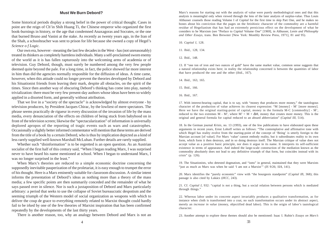### **Must We Burn Debord?**

Some historical periods display a strong belief in the power of critical thought. Cases in point are the reign of Ch'in Shih Huang Ti, the Chinese emperor who organized the first book-burnings in history, or the age that condemned Anaxagoras and Socrates, or the one that burned Bruno and Vanini at the stake. As recently as twenty years ago, in the Iran of the Shah, a schoolteacher was sent to prison for life because she owned a copy of Hegel's *Science o f Logic.*

Our own era, however - meaning the last few decades in the West - has (not unreasonably) treated its thinkers as completely harmless individuals. Many a self-proclaimed sworn enemy of the world as it is has fallen rapturously into the welcoming arms of academia or of television. Guy Debord, though, must surely be numbered among the very few people deemed quite beyond the pale. For a long time, in fact, the police showed far more interest in him than did the agencies normally responible for the diffusion of ideas. A time came, however, when this attiude could no longer prevent the theories developed by Debord and his Situationist friends from leaving their mark, despite all obstacles, on the spirit of the times. Since then another way of obscuring Debord's thinkng has come into play, namely trivialization: there must be very few present-day authors whose ideas have been so widely applied in a disorted form, and generally without attribution.

That we live in a "society of the spectacle" is acknowledged by almost everyone - by television producers, by President Jacques Chirac, by the lowliest of mere spectators. The phrase seems practically de rigueur in every discussion of the invasion of life by the mass media, every denunciation of the effects on children of being stuck from babyhood on in front of the television screen; likewise the "spectacularization" of information is universally deplored apropos of the reporting of tragic events such as wars and catastrophes. Occasionally a slightly better informed commentator will mention that these terms are derived from the title of a book by a certain Debord, who is thus by implication depicted as a kind of less rarely supplied well-known Marshall McLuhan. Further details are rarely supplied.

Whether such "disinformation" is to be regretted is an open question. As an Austrian socialist of the first half of this century said, "When I began reading Marx, I was surprised never to have heard his name mentioned at school. When I began to understand Marx, I was no longer surprised in the least."

When Marx's theories are reduced to a simple economic doctrine concerning the supposedly inevitable pauperization of the proletariat, it is easy enough to trumpet the error of his thought. Here is a Marx eminently suitable for classroom discussion. A similar intent informs the presentation of Debord's ideas as nothing more than a theory of the mass media; a few specific points are then summarily conceded and the remainder of what he says passed over in silence. Nor is such a juxtaposition of Debord and Marx particularly arbitrary: a period that seeks to use the collapse of Soviet bureaucratic despotism and the seeming triumph of the Western model of social organization as weapons with which to deliver the coup de grace to everything remotely related to Marxist thought could hardly fail to be irked by one of the few theories of Marxist inspiration that has been confirmed repeatedly by the developments of the last thirty years.

There is another reason, too, why an analogy between Debord and Marx is not an

Marx's reasons for starting out with the analysis of value were purely methodological ones and that this analysis is meaningful only when viewed through the lens of the later analysis of surplus-value. Thus Louis Althusser counsels those reading Volume I of *Capital* for the first time to skip Part One, and he makes no bones about his conviction that the pages on the fetishistic character of the commodity are a harmful residue of Hegelianism that has had an extremely pernicious effect on the development of what he considers to be Marxism (see "Preface to *Capital*  Volume One" [1969], in Althusser, *Lenin and Philosophy and Other Essays*, trans. Ben Brewster [New York: Monthly Review Press, 1971], 81 and 95).

10. *Capital I*, 128.

11. Ibid., 128, 134.

12. Ibid., 148.

13. If "one ton of iron and two ounces of gold" have the same market value, common sense suggests that a natural relationship exists here; in reality the relationship concerned is between the quantities of labor that have produced the one and the other (ibid., 167).

14. Ibid., 163, 165.

15. Ibid., 166.

16. Ibid., 167.

17. With interest-bearing capital, that is to say, with "money that produces more money," the tautologous character of the production of value achieves its clearest expression: "M [money] - M' [more money]. Here we have the original starting-point of capital, money in the formula M-C [commodity] - M', reduced to the two extremes M - M', where  $M' = M + \Delta M$ , money that creates more money. This is the original and general formula for capital reduced to an absurd abbreviation" (*Capital III*, 514).

18. In the German journal *Krisis*, no. 13 (1993), one of the few publications to have elaborated upon these arguments in recent years, Ernst Lohoff writes as follows: "The contemplative and affirmative tone with which Hegel has reality evolve from the starting-point of the concept of 'Being' is utterly foreign to the Marxian account [of value]. For Marx 'value' cannot embody reality, but it subordinates reality to its own form, which form it then destroys, and in so doing destroys itself. The Marxian critique of value does not accept value as a positive basic principle, nor does it argue in its name. It interprets its self-sufficient existence in terms of appearance. And indeed the large-scale construction of the mediation known as the commodity absolutely does not lead to any definitive triumph of that form, but coincides instead with its crisis" (p. 126).

19. The Situationists, who detested dogmatism, and "isms" in general, maintained that they were Marxists "just as much as Marx was when he said 'I am not a Marxist'" (*IS* 9/26; *SIA*, 141).

20. Marx identifies the "purely economic" view with "the bourgeois standpoint" (Cap*ital II*I, 368); this passage is also cited by Lukács (*HCC*, 243).

21. Cf. *Capital I*, 932: "capital is not a thing, but a social relation between persons which is mediated through things."

22. Whereas labor under its concrete aspect invariably produces a qualitative transformation, as for instance when cloth is transformed into a coat, no such transformation occurs under its abstract aspect, merely an *increase in value* (money, objectified dead labor). This is the origin of labor's tautological character.

23. Another attempt to explore these themes should also be mentioned: Isaac I. Rubin's *Essays on Marx's*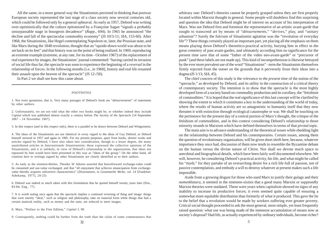All the same, in a more general way the Situationists persisted in thinking that postwar European society represented the last stage of a class society now several centuries old, which could be followed only by a general upheaval. As early as 1957, Debord was writing over-optimistically that the culture epitomized by a Françoise Sagan "signals a probably unsurpassable stage in bourgeois decadence" (*Rapp*., 694). In 1965 he announced "the decline and fall of the spectacular commodity economy" (*IS* 10/3-11; *SIA*, 153-60). After 1968, the Situationists, like Hegel contemplating Napoleon or, later, the Prussian state, and like Marx during the 1848 revolution, thought that an "upside-down world was about to be set back on its feet" and that history was on the point of being realized. In 1969, reproducing an extreme example (extreme, at any rate, for its time - October 1967) of the replacement of real experience by images, the Situationists' journal commented: "having carried its invasion of social life thus far, the spectacle was soon to experience the beginning of a *reversal* in the relationship of forces. In the following months [i.e., in 1968], history and real life resumed their assault upon the heaven of the spectacle" (*IS* 12-/50).

In Part 2 we shall see how this came about.

#### FOOTNOTES

1. Not overt quotations, that is. Very many passages of Debord's book are "*détournements*" of statements by other authors.

2. Unfortunately, we are not told what the other two books might be, or whether indeed they include *Capital* which was published almost exactly a century before *The Society* of *the Spectacle* (14 September 1867 - 14 November 1967).

3. In this respect (and in this respect only), there is a parallel to be drawn between Debord and Wittgenstein.

4. The ideas of the Situationists are not identical in every regard to the ideas of Guy Debord, as Debord himself stressed in 1957 and again in 1985. For my present purposes, apart from books, shorter works and articles signed by Debord, I have also taken into consideration, though to a lesser degree, the many unattributed articles in *Internationale Situationniste*; these expressed the collective opinions of the Situationists, and it is unlikely, in view of Debord's relationship to the organization, that ideas not espoused by him would have been presented in this way as "ideas of the group." On the other hand, all citations here to writings signed by other Situationists are clearly identified as to their authors.

5. As early as the nineteen-thirties, Theodor W Adorno asserted that henceforward exchange-value could be consumed and use-value exchanged, and that "all enjoyment that achieves emancipation from exchangevalue thereby acquires subversive characteristics" (*Dissonanzen,* in *Gesammelte Werke, vol. 14* [Frankfurt: Suhrkamp, 1977], 24-25)

6. Debord was indeed so much taken with this formulation that he quoted himself twenty years later (*Pan*., 83-84; Eng., 77).

7. It is worth noting once again that the spectacle implies a continual reversing of thing and image: things that were merely "ideal," such as religion and philosophy, take on material form while things that had a certain material reality, such as money and the state, are reduced to mere images.

8. Marx, "Preface to the First Edition," *Capital I*, 90.

9. Consequently, nothing could be further from the truth than the claim of some commentators that

arbitrary one: Debord's theories cannot be properly grasped unless they are first properly located within Marxist thought in general. Some people will doubtless find this surprising and question the idea that Debord might be of interest on account of his interpretation of Marx. Was not Debord first and foremost the representative of an artistic avant-garde that sought to transcend art by means of "*détournements*," "*derives*," play, and "unitary urbanism"? Surely the fulcrum of Situationist agitation was the "revolution of everyday life"? These things certainly played an important part, yet placing all the emphasis on them means playing down Debord's theoretico-practical activity, burying him in effect in the great cemetery of past avant-gardes, and ultimately according him no significance for the present time save that of some "father of the video neo-avant-garde" or "precursor of punk" (and these labels are not made up). This kind of incomprehension is likewise betrayed by the ever more prevalent use of the word "Situationism" - term the Situationists themselves firmly rejected from the outset on the grounds that it perversely froze their ideas into a dogma (*IS* 1/13; *SIA*, 45).

The chief concern of this study is the *relevance to the present time* of the notion of the "spectacle," as developed by Debord, and its utility in the construction of a critical theory of contemporary society. The intention is to show that the spectacle is the most highly developed form of a society based on commodity production and its corollary, the "fetishism of commodities." It is hoped that the real significance of this last concept will be clarified by showing the extent to which it constitutes a key to the understanding of the world of today, where the results of human activity are so antagonistic to humanity itself that they now threaten it with extinction through ecological catastrophe or war. We shall be touching on the pertinence for the present day of a central portion of Marx's thought, the critique of the fetishism of commodities, and in this context considering Debord's relationship to those minority strands in Marxism which have defined themselves in terms of that pivotal topic.

The main aim is to advance understanding of the theoretical issues while shedding light on the relationship between Debord and his contemporaries. Certain issues, among them the question of revolutionary organization, will be given short shrift here, because, whatever importance they once had, discussion of them now tends to resemble the Byzantine debate on the human versus the divine nature of Christ. Nor shall we devote much space to anecdotal and biographical details, which have been fairly well documented elsewhere. We will, however, be considering Debord's practical activity, his life, and what might be called his "myth," for they partake of an overarching desire for a rich life full of passion, not of passive contemplation, and embody a will to destroy whatever at present makes such a life impossible.

Aside from a growing disgust for those who used Marx to justify their gulags and their *nomenklatura,* it seemed in the nineteen-sixties that a good many Marxist or supposedly Marxist theories were outdated. These were years when capitalism showed no signs of any inability to increase its productive forces; it even seemed quite capable of ensuring a somewhat more equitable distribution than formerly of what it produced. This gave the lie to the belief that a revolution would be made by workers suffering ever greater poverty. Critical social thought proceeded to ask the most general, most simple, yet least frequently raised question: what use was being made of the immense accumulation of means now at society's disposal? Had life, as actually experienced by ordinary individuals, become richer?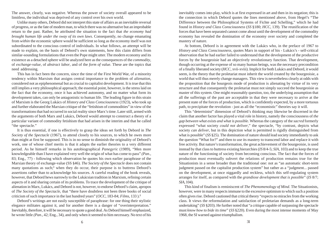The answer, clearly, was negative. Whereas the power of society overall appeared to be limitless, the individual was deprived of any control over his own world.

Unlike many others, Debord did not interpret this state of affairs as an inevitable reversal of progress, or as the fate of modern man, to which there was no alternative but an improbable return to the past. Rather, he attributed the situation to the fact that *the economy had brought human life under the sway of its own laws*. Consequently, no change emanating from *within* the economic sphere would be sufficient so long as the economy itself was not subordinated to the conscious control of individuals. In what follows, an attempt will be made to explain, on the basis of Debord's own statements, how this claim differs from similar-sounding formulations that even the Pope might utter. The modern economy and its existence as a detached sphere will be analyzed here as the consequences of the *commodity*, of *exchange-value*, of *abstract labor*, and of the *form of value*. These are the topics that need addressing.

This has in fact been the concern, since the time of the First World War, of a minority tendency within Marxism that assigns central importance to the problem of *alienation*, considered not as epiphenomenal but as crucial to capitalist development. It is true that this still implies a very philosophical approach; the essential point, however, is the stress laid on the fact that the economy, once it has achieved autonomy, and no matter what form its development takes, can only be antagonistic to human life. The leading figure in this strain of Marxism is the Georg Lukács of *History and Class Consciousness* (1923), who took up and further elaborated the Marxian critique of the "fetishism of commodities" in view of the transformations that had occurred in social reality since Marx's time. Later still, armed with the arguments of both Marx and Lukács, Debord would attempt to construct a theory of a particular variant of commodity fetishism that had arisen in the interim and that he called "the spectacle."

It is thus essential, if one is effectively to grasp the ideas set forth by Debord in *The Society of the Spectacle* (1967), to attend closely to his sources, to which he owes more than might at first be supposed. This is in no sense to diminish the originality of Debord's work, one of whose chief merits is that it adapts the earlier theories to a very different period. As he himself remarks in his autobiographical *Panegyric* (1989), "Men more knowledgeable than I have explained very well the origin of what has come to pass" *(Pan.*, 83; Eng., 77) - following which observation he quotes his own earlier paraphrase of the Marxian theory of exchange-value (SS §46). *The Society of the Spectacle* does not contain many quotations as such; $<sup>1</sup>$  when they do occur, their purpose is to buttress Debord's</sup> assertions rather than to acknowledge his sources. A careful reading of the book reveals, however, that Debord hews narrowly to the Lukácsian tradition in Marxism, refining certain aspects of it and sharing certain of its problems. To trace the development of the critique of alienation in Marx, Lukács, and Debord is not, however, to endorse Debord's claim, apropos of *The Society of the Spectacle,* that "there have doubtless not been three books of social criticism of such importance in the last hundred years" (*OCC*, 183-84; *Films*, 133 ).**<sup>2</sup>**

Debord's writings are not easily susceptible of paraphrase: for one thing their stylistic elegance militates against it, and for another there is a danger of "overinterpretation." Inevitably, therefore, it will be necessary to quote a good deal. As Debord himself emphasized, he wrote little *(Pan*., 42; Eng., 34), and only when it seemed to him necessary. No text of his inevitably comes into play, which is at first expressed in art and then in its negation; this is the connection in which Debord quotes the lines mentioned above, from Hegel's "The Difference between the Philosophical Systems of Fichte and Schelling," which he had found in *History and Class Consciousness* (*SS* §180; *HCC*, 139). The reunification of the forces that have been separated cannot come about until the development of the commodity economy has revealed the domination of the economy over society and completed the mastery of nature.

At bottom, Debord is in agreement with the Lukács who, in the preface of 1967 to *History and Class Consciousness*, quotes Marx in support of his - Lukács's - self-critical observation that he had earlier failed to understand that the development of the productive forces by the bourgeoisie had an objectively revolutionary function. That development, though occurring at the expense of so many human beings, was the necessary precondition of a finally liberated society (*HCC*, xvii-xviii). Implicit for both Lukács and Debord, it would seem, is the theory that the proletariat must inherit the world created by the bourgeoisie, a world that will thus merely change managers. This view is nevertheless clearly at odds with the proposition that the bourgeois mode of production is alienating by virtue of its very structure and that consequently the proletariat must not simply succeed the bourgeoisie as master of this system. One might reasonably question, too, the underlying assumption that all the sufferings of the past are acceptable in that they were necessary to arrive at the present state of the forces of production, which is confidently expected, by a more tortuous path, to precipitate the revolution - just as all the "economistic" theories say it will.

This "determinist" dimension of Debord's thinking may likewise be discerned in the claim that another factor has played a vital role in history, namely the consciousness of *the gap between what exists and what is possible*. Whereas the category of the *sacred* formerly expressed "what society *could not deliver*," the spectacle, "by contrast, depicts what society *can deliver*, but in this depiction what is permitted is rigidly distinguished from what is possible" (*SS* §25). The domination of nature should lead society immediately to ask the question "What for?" and then to use its mastery to transcend labor and replace it with free activity. But nature's transformation, the great achievement of the bourgeoisie, is used instead by that class to buttress existing hierarchies (*IS* 8/4-5; *SIA*, 103) and to keep the true nature of the functioning of society from becoming conscious. The fact that the forces of production must eventually subvert the relations of production remains true for the Situationists in a sense broader than the traditional one: not as "an automatic short-term judgment passed on the capitalist production system" but rather as a "judgment... passed on the development, at once niggardly and reckless, which this self-regulating system arranges for itself, as compared with the *grandiose development that is possible*" (*IS* 8/7; *SIA*, 104).

This kind of finalism is reminiscent of *The Phenomenology of Mind*. The Situationists, however, were in many respects immune to the excessive optimism to which such a position often gives rise. Debord cautioned that critical theory "expects no miracles from the working class. It views the reformulation and satisfaction of proletarian demands as a long-term undertaking" (*SS* §203). He further noted that "a critique capable of surpassing the spectacle must *know how to bide its time*" (*SS* §220). Even during the most intense moments of May 1968, the SI warned against triumphalism.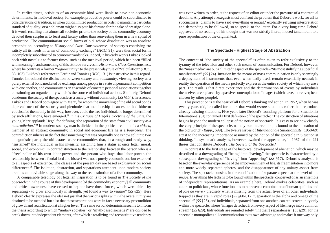In earlier times, activities of an economic kind were liable to have non-economic determinants. In medieval society, for example, productive power could be subordinated to considerations of tradition, as when guilds limited production in order to maintain a particular standard of quality; or a nobleman might dissipate his fortune for the sake of prestige alone. It is worth recalling that almost all societies prior to the society of the commodity economy devoted their surpluses to feast and luxury rather than reinvesting them in a new spiral of production. The communitarian social forms of old, whose dissolution was an absolute precondition, according to *History and Class Consciousness*, of society's contriving "to satisfy all its needs in terms of commodity exchange" (*HCC*, 91), were thus social forms incompletely subordinated to economic yardsticks. Indeed, in his early works Lukács looked back with nostalgia to former times, such as the medieval period, which had been "filled with meaning"; and something of this attitude survives in *History and Class Consciousness*, where he contrasts a former "organic unity" to the present-day rule of "calculation" (*HCC*, 88, 103). Lukács's reference to Ferdinand Tonnies (*HCC*, 131) is instructive in this regard. Tunnies introduced the distinction between *society* and *community*, viewing society as a purely external bond mediated by exchange among people in a state of permanent competition with one another, and community as an ensemble of concrete personal associations together constituting an organic unity which is the source of individual actions. Similarly, Debord condemns the society of the spectacle as a society without community (*SS* §154). In essence, Lukács and Debord both agree with Marx, for whom the unraveling of the old social bonds deprived men of the security and plenitude that membership in an estate had hitherto vouchsafed them; only in this way, however, could the free individual, no longer determined by such affiliations, have emerged.**<sup>37</sup>** In his *Critique of Hegel's Doctrine of the State*, the young Marx applauds Hegel for defining "the separation of the state from civil society as a *contradiction*."**<sup>38</sup>** In modern society, man is divided: in the political realm he is a *citizen*, member of an abstract community; in social and economic life he is a *bourgeois*. The contradiction inheres in the fact that something that was originally one is now split into two antagonistic parts; the old estates were communities that, in a rough and ready way, "sustained" the individual in his integrity, assigning him a status at once legal, moral, social, and economic. In contradistinction to the relationship between the person who is a "free" seller of his own labor-power and the person who buys that labor-power, the relationship between a feudal lord and his serf was not a purely economic one but extended to all aspects of existence. The classes of the present day are based exclusively on *social* differences.<sup>39</sup> The isolation, abstraction, and separations attendant upon modern society are thus an inevitable stage along the way to the reconstitution of a free community.

A comparable teleology of Hegelian inspiration is to be found in *The Society of the Spectacle*: "In the course of this development [of the commodity economy] all community and critical awareness have ceased to be; nor have those forces, which were able - by separating - to grow enormously in strength, yet found a way to *reunite*" (*SS* §25). Here Debord clearly expresses the idea not just that the various splits within the overall unity are destined to be mended but also that these separations were in fact a necessary precondition of growth and reunification at a higher level. The same sort of determinism seems to inform the thesis according to which "unitary societies" or "myth-based societies" are *obliged* to break down into independent elements, after which a totalizing and reconstitutive tendency was ever written to order, at the request of an editor or under the pressure of a contractual deadline. Any attempt at exegesis must confront the problem that Debord's work, for all its succinctness, claims to have said everything essential,**<sup>3</sup>** explicitly refusing interpretation and demanding to be followed, so to speak, to the letter. For a very long time Debord approved of no reading of his thought that was not strictly literal, indeed tantamount to a pure reproduction of the original text.

### **The Spectacle - Highest Stage of Abstraction**

The concept of "the society of the spectacle" is often taken to refer exclusively to the tyranny of the television and other such means of communication. For Debord, however, the "mass media" are but a "limited" aspect of the spectacle - "its most stultifying superficial manifestation" (*SS* §24). Invasion by the means of mass communication is only seemingly a deployment of instruments that, even when badly used, remain essentially neutral; in reality the operation of the media perfectly expresses the entire society of which they are a part. The result is that direct experience and the determination of events by individuals themselves are replaced by a passive contemplation of images (which have, moreover, been chosen by other people).

This perception is at the heart of all Debord's thinking and action. In 1952, when he was twenty years old, he called for an art that would *create* situations rather than reproduce already existing situations. Five years later Debord's founding platform for a Situationist International (SI) contained a first definition of the spectacle: "The construction of situations begins beyond the modern collapse of the notion of spectacle. It is easy to see how closely the very principle of the spectacle, namely non-intervention, is bound to the alienation of the old world" (*Rapp*., 699). The twelve issues of *Internationale Situationniste* (1958-69) attest to the increasing importance assumed by the notion of the spectacle in Situationist thinking. Its systematic analysis, however, awaited the appearance, in 1967, of the 221 theses that constitute Debord's *The Society of the Spectacle*.**<sup>4</sup>**

In contrast to the first stage of the historical development of alienation, which may be described as a downgrading of "being" into "having," the spectacle is characterized by a subsequent downgrading of "having" into "appearing" (*SS* §17). Debord's analysis is based on the everyday experience of the impoverishment of life, its fragmentation into more and more widely separated spheres, and the disappearance of any unitary aspect from society. The spectacle consists in the reunification of separate aspects at the level of the *image*. Everything life lacks is to be found within the spectacle, conceived of as an ensemble of independent representations. As an example here, Debord evokes celebrities, such as actors or politicians, whose function it is to represent a combination of human qualities and of *joie de vivre* - precisely what is missing from the actual lives of all other individuals, trapped as they are in vapid roles (*SS* §60-61). "Separation is the alpha and omega of the spectacle" (*SS* §25), and individuals, separated from one another, can rediscover unity only within the spectacle, where "images detached from every aspect of life merge into a common stream" (*SS* §29). Individuals are reunited solely "in [their] separateness" (*SS* §29), for the spectacle monopolizes all communication to its own advantage and makes it one way only.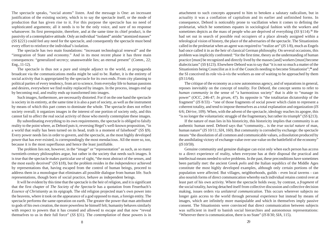The spectacle speaks, "social atoms" listen. And the message is One: an incessant justification of the existing society, which is to say the spectacle itself, or the mode of production that has given rise to it. For this purpose the spectacle has no need of sophisticated arguments; all it needs is to be the only voice, and sure of no response whatsoever. Its first prerequisite, therefore, and at the same time its chief product, is the passivity of a contemplative attitude. Only an individual "isolated" amidst "atomized masses" (*SS* §221) could feel any need for the spectacle, and consequently the spectacle must bend every effort to reinforce the individual's isolation.

The spectacle has two main foundations: "incessant technological renewal" and the "integration of State and economy." And in its most recent phase it has three main consequences: "generalized secrecy; unanswerable lies; an eternal present" (*Comm*., 22; Eng., 11-12).

The spectacle is thus not a pure and simple adjunct to the world, as propaganda broadcast via the communications media might be said to be. Rather, it is the entirety of social activity that is appropriated by the spectacle for its own ends. From city planning to political parties of every tendency, from art to science, from everyday life to human passions and desires, everywhere we find reality replaced by images. In the process, images end up by becoming real, and reality ends up transformed into images.

Such images, furthermore, are necessarily distorted. For if on the one hand the spectacle is society in its entirety, at the same time it is also a part of society, as well as the instrument by means of which this part comes to dominate the whole. The spectacle does not reflect society overall; it organizes images in the interest of one portion of society only, and this cannot fail to affect the real social activity of those who merely contemplate these images.

By subordinating everything to its own requirements, the spectacle is obliged to falsify reality to the point where, as Debord puts it, reversing Hegel's well-known proposition, "in a world that really has been turned on its head, truth is a moment of falsehood" (*SS* §9). Every power needs lies in order to govern, and the spectacle, as the most highly developed power that has ever existed, is correspondingly the most mendacious. All the more so, too, because it is the most superfluous and hence the least justifiable.

The problem lies not, however, in the "image" or "representation" as such, as so many twentieth-century philosophies argue, but rather in the society that needs such images. It is true that the spectacle makes particular use of sight, "the most abstract of the senses, and the most easily deceived" (*SS* §18), but the problem resides in the *independence* achieved by representations that, having escaped from the control of human beings, proceed to address them in a monologue that eliminates all possible dialogue from human life. Such representations, though born of social practice, behave as independent beings.

It will be evident by this time that the spectacle is the heir of religion, and it is significant that the first chapter of *The Society of the Spectacle* has a quotation from Feuerbach's *Essence of Christianity* as its epigraph. The old religion projected man's own power into the heavens, where it took on the appearance of a god opposed to man, a foreign entity. The spectacle performs the same operation on earth. The greater the power that man attributed to gods of his own creation, the more powerless he himself felt; humanity behaves similarly with respect to powers that it has created and allowed to escape and that now "reveal themselves to us in their full force" (*SS* §31)*.* The *contemplation* of these powers is in

attachment to such concepts appeared to him to betoken a salutary radicalism, but in actuality it was a conflation of capitalism and its earlier and unfinished forms. In consequence, Debord is noticeably prone to vacillation when it comes to defining the proletariat, which he sometimes equates in sociological fashion with the workers and sometimes depicts as the mass of people who are deprived of everything (*SS* §114).**<sup>35</sup>** He had set out in search of possible real occupiers of a place already assigned within a teleological vision of history, the place of the adversaries of the spectacle. The Situationists called in the proletariat when an agent was required to "realize art" (*IS* 1/8), much as Engels had once called it in as the heir of classical German philosophy. On several occasions, this problem was implicitly confronted: "for the first time, theory as the understanding of human practice [must] be recognized and directly lived by the masses [and] workers [must] become dialecticians" (*SS* §123). Elsewhere Debord was to say that "it is not so much a matter of the Situationists being Councilist as it is of the Councils needing to become Situationist";**<sup>36</sup>** and the SI conceived its role vis-à-vis the workers as one of waiting to be approached by them (*IS* 11/64).

The critique of the economy as a now autonomous agency, and of separations in general, reposes inevitably on the concept of *totality*. For Debord, the concept seems to refer to *human community* in the sense of "a harmonious society" that is able to "manage its power" (*OCC*, 246-47; *In girum*, 47). Its opposite is "the totalitarian dictatorship of the fragment" (*IS* 8/33) - "one of those fragments of social power which claim to represent a coherent totality, and tend to impose themselves as a total explanation and organization (*IS* 6/6; *Dérive,* 109). When, with the advent of the spectacle, ideology reaches its apogee, this "is no longer the voluntaristic struggle of the fragmentary, but rather its triumph" (*SS* §213).

If the nature of man lies in his historicity, this historicity implies that community is an authentic human need. Debord says that "community... is the *true social nature* of man, human nature" (*IS* 10/11; *SIA*, 160). But community is corroded by exchange: the spectacle means "the dissolution of all common and communicable values, a dissolution produced by the annihilating victory of exchange-value over use-value on the battlefield of the economy" (*IS* 10/59).

Genuine community and genuine dialogue can exist only when each person has access to a direct experience of reality, when everyone has at their disposal the practical and intellectual means needed to solve problems. In the past, these preconditions have sometimes been partially met: the ancient Greek *polis* and the Italian republics of the Middle Ages constitute the most highly developed examples, although only certain portions of the population were affected. But villages, neighborhoods, guilds - even local taverns - can also nourish forms of direct communication whereby each individual retains control over at least part of his own activity. Where the spectacle holds sway, by contrast, a *fragment* of the social totality, having detached itself from collective discussion and collective decision making, issues orders via *unilateral communication*. This occurs wherever subjects no longer gain access to the world through personal experience but instead by means of images, which are infinitely more manipulable and which in themselves imply passive consent. The Situationists were convinced that direct communication between subjects was sufficient in itself to banish social hierarchies and autonomous representations: "Wherever there is communication, there is no State" (*IS* 8/30; *SIA*, 115).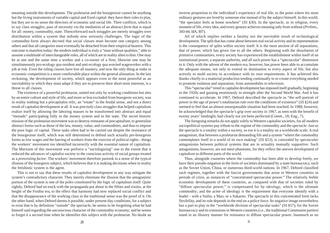meaning outside this development. The proletariat and the bourgeoisie cannot be anything but the living instruments of variable capital and fixed capital: they have their roles to play, but they are in no sense the directors of economic and social life. Their conflicts, which is to say class struggles, pass of necessity via the mediation of an abstract *form* that is equal for all: money, commodity, state. Thenceforward such struggles are merely struggles over distribution within a system that nobody now seriously challenges. The logic of the commodity-form always decreed that social classes must become one category among others and that all categories must eventually be detached from their empirical bearers. This outcome is manifest today: the modern individual is truly a "man without qualities," able to assume a multitude of interchangeable roles, all of which are in reality alien to him. One may be at one and the same time a worker and a co-owner of a firm; likewise one may be simultaneously pro-ecology qua resident and anti-ecology qua worried wageworker with a job at risk. Even the ruling classes have lost all mastery, and now the only thing at stake in economic competition is a more comfortable place within the general alienation. In the last reckoning, the development of society, which appears even to the most powerful as an inevitability to which they must adapt if they are to preserve their short-term interests, is a threat to all classes.

The existence of a powerful proletariat, united not only by working conditions but also by an entire culture and style of life, and more or less excluded from bourgeois society, was in reality nothing but a precapitalist relic, an "estate" in the feudal sense, and not a direct result of capitalist development at all. It was precisely class struggles that helped capitalism realize itself by allowing the laboring masses to be transformed into abstract and equal "monads" participating fully in the money system and in the state. The secret historic mission of the proletarian movement was to destroy remnants of precapitalism, to generalize abstract forms such as those of the law, money, value, and commodities, and thus to impose the pure logic of capital. These tasks often had to be carried out despite the resistance of the bourgeoisie itself, which was still determined to defend such actually pre-bourgeois forms as low wages and the barring of workers from the exercise of political rights - things the workers' movement too identified incorrectly with the essential nature of capitalism. The Marxism of this movement was perforce a "sociologizing" one to the extent that it reduced the advances of capitalist society to the conscious activity of social groups treated as a *preexisting factor*. The workers' movement therefore partook in a sense of the typical illusion of the bourgeois subject, which believes that it is making decisions when in reality the fetishistic system is the agent.

This is not to say that these results of capitalist development in any way mitigate the system's contradictory character. They merely eliminate the illusion that the antagonistic portion of the system is one of the poles constituted by the logic of capitalism itself. Quite rightly, Debord had no truck with the propaganda put about in the fifties and sixties, at the height of the Fordist era, to the effect that harmony had now replaced social conflict and that the disappearance of the working class in the traditional sense was the proof of it. On the other hand, when Debord deems it possible, under present-day conditions, for a subject to exist that is by definition "outside" the spectacle, he seems to be forgetting what he had himself said regarding the unconscious character of the commodity economy; and he seems to forget it a second time when he identifies this subject with the proletariat. No doubt an inverse proportion to the individual's experience of real life, to the point where his most ordinary gestures are lived by someone else instead of by the subject himself. In this world, "the spectator feels at home nowhere" (*SS* §30). In the spectacle, as in religion, every moment of life, every idea, and every gesture achieves meaning only from without (*Prelims*., 343-44; *SIA*, 307).

All of which implies neither a fatality nor the inevitable result of technological development. The split that has come about between real social activity and its representation is the consequence of splits within society itself. It is the most ancient of all separations, that of power, which has given rise to all the others. Beginning with the dissolution of primitive communities, every society has experienced the establishment within itself of an institutional power, a separate authority, and all such power has a "spectacular" dimension to it. Only with the advent of the modern era, however, has power been able to accumulate the adequate means, not only to extend its domination to every aspect of life, but also actively to mold society in accordance with its own requirements. It has achieved this thanks chiefly to a matterial production tending continually to re-create everything needed to promote isolation and separation, from automobiles to television.

This "spectacular" trend in capitalist development has imposed itself gradually, beginning in the 1920s and gaining enormously in strength after the Second World War. And it has continued to accelerate. In 1967, Debord described the spectacle as "the self-portrait of power in the age of power's totalitarian rule over the conditions of existence" (*SS* §24) and seemed to feel that an almost unsurpassable situation had been reached. In 1988, however, he acknowledged that the spectacle's grip over society in 1967, as seen with the benefit of twenty years' hindsight, had clearly not yet been perfected (*Comm*., 18; Eng., 7).

The foregoing remarks do not apply solely to Western capitalist societies, for all modern sociopolitical systems pay tribute to the regime of the commodity and the spectacle. Just as the spectacle is a totality within a society, so too it is a totality on a worldwide scale. A real antagonism, that between a proletariat demanding life and a system "where the commodity contemplates itself in a world of its own making" (*SS* §53), is concealed by *spectacular* antagonisms between political systems that are in actuality mutually supportive. Such antagonisms, however, are not mere phantoms, for they reflect the uneven development of capitalism in different parts of the world.

Thus, alongside countries where the commodity has been able to develop freely, we have their pseudo-negation in the form of societies dominated by a state bureaucracy, such as the Soviet Union, China, or numerous third-world nations. In 1967, Debord classified such regimes, together with the fascist governments that arose in Western countries in periods of crisis, as instances of "concentrated spectacular power." The relatively feeble economic development of these countries, as compared with that of societies ruled by "diffuse spectacular power," is compensated for by *ideology*, which is the ultimate commodity; and the acme of ideology is the requirement that everyone identify with a leader - with a Stalin, a Mao, or a Sukarno. The spectacle in this concentrated form lacks flexibility, and its rule depends in the end on a police force. Its negative image nevertheless has a part to play in the "worldwide division of spectacular tasks" (*SS* §57), for the Soviet bureaucracy and its extensions in Western countries (i.e., the traditional Communist parties) stand in an illusory manner for resistance to diffuse spectacular power. Inasmuch as no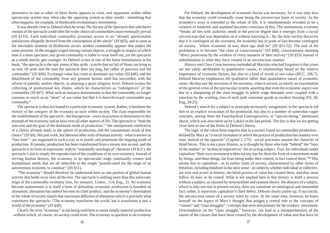alternative to one or other of these forms appears to exist, real opponents within either spectacular system may often take the opposing system as their model - something that often happens, for example, in thirdworld revolutionary movements.

It was already clear to Debord when he wrote *The Society of the Spectacle* that whichever version of the spectacle could offer the wider choice of commodities must eventually prevail (*SS* §110). Each individual commodity promises access to an "already questionable satisfaction allegedly derived from the *consumption of the whole*" (*SS* §65), and as soon as the inevitable moment of disillusion occurs another commodity appears that makes the same promise. In the struggle waged among various objects, a struggle in respect of which man is a mere spectator, any given commodity is liable to wear itself out, yet the spectacle as a whole merely gets stronger. As Debord writes in one of the finest formulations in his book, "the spectacle is the epic poem of this strife - a strife that no fall of Ilium can bring to an end. Of arms and the man the spectacle does not sing, but rather of passions and the commodity" (*SS* §66). Exchange-value has come to dominate use-value (*SS* §46), and the detachment of the commodity from any genuine human need has succeeded, with the advent of patently useless objects, in attaining a quasi religious level: Debord evokes the collecting of promotional key chains, which he characterizes as "indulgences" of the commodity (*SS* §67). What such an instance demonstrates is that the commodity no longer contains so much as an "atom" of use-value but that it is henceforward consumable *qua commodity*. **5**

The spectacle is thus not bound to a particular economic system. Rather, it betokens the victory of the *category* of the economy as such within society. The class responsible for the establishment of the spectacle - the bourgeoisie - owes its position of dominance to this triumph of the economy and its laws over all other aspects of life. The spectacle is "both the outcome and the goal of the dominant mode of production," "the omnipresent celebration of a choice *already made* in the sphere of production, and the consummate result of that choice" (*SS* §6). Not just work, but likewise other sorts of human activity - what is known as "free time" - are organized in such a way as to justify and perpetuate the reigning mode of production. Economic production has been transformed from a means into an end, and the spectacle is its form of expression: with its "essentially tautological" character (*SS* §13 ), the spectacle's aim is simply the reproduction of the conditions of its own existence. Instead of serving human desires, the economy in its spectacular stage continually creates and manipulates needs that are all reducible to the single "pseudo-need for the reign of an autonomous economy to continue" (*SS* §51).

"The economy" should therefore be understood here as one portion of global human activity that holds sway over all the rest. The spectacle is nothing more than this autocratic reign of the commodity economy (see, for instance, *Comm*., 114; Eng., 2). An economy become autonomous is in itself a form of alienation; economic production is founded on alienation; alienation has indeed become its chief product; and the economy's domination of the whole of society entails that maximum diffusion of alienation which is precisely what constitutes the spectacle. "The economy transforms the world, but it transforms it into a world of the economy" (*SS* §40).

Clearly the term "economy" is not being used here to mean simply material production - without which, of course, no society could exist. The economy in question is *an economy*

For Debord, the development of economic forces was necessary, for it was only thus that the economy could eventually cease being the *unconscious* basis of society. As the economy's sway is extended to the whole of life, it is simultaneously revealed to be a creation of mankind, and mankind becomes conscious of this. The autonomous economy "breaks all ties with authentic needs to the precise degree that it emerges from a *social unconscious* that was dependent on it without knowing it... By the time society discovers that it is contingent on the economy, the economy has in point of fact become contingent on society... Where economic id was, there ego shall be" (*SS* §51-52). The task of the proletariat is to become "the class of consciousness" (*SS* §88), consciousness meaning "direct possession by the workers of every moment of their activity" (*SS* §53) instead of subordination to what they have created in an unconscious manner.

*History and Class Consciousness* reminded all Marxists who had forgotten it that crises are not solely attributable to quantitative causes, to relationships based on the relative importance of economic factors, but also to a kind of revolt of use-value (*HCC*, 106-7). Debord likewise emphasizes the qualitative rather than quantitative nature of economic crises. He thus saw the recession of the seventies, when it arrived, as merely an exacerbation of the general crisis of the spectacular system, asserting that even the economic aspect was due to a sharpening of the class struggle in which wage demands were coupled with a rejection by the working class of such junk consumer goods as modern housing (*VS*, 28; Eng., 24-25).

Debord's search for a subject or principle necessarily antagonistic to the spectacle led him to an explicit invocation of the proletariat, but also to a number of somewhat vague concepts, among them the Feuerbachian *Gattungswesen*, or "species-being," mentioned above, which was also taken up by Lukács in his last period. The fact is that we are getting close here to one of the limits of Debord's theory.

The logic of the value-form requires that in a society based on commodity production defined by Marx as "a social formation in which the process of production has mastery over man, instead of the opposite" (*Capital I*, 175) - social processes assume the character of blind forces. This is not a pure illusion, as is thought by those who look "behind" the "laws of the market" or "technical imperatives" for an acting subject. True, for individuals under capitalism "their own movement within society has for them the form of a movement made by things, and these things, far from being under their control, in fact control them."**<sup>34</sup>** This means that in capitalism - as in earlier types of society, characterized by other forms of fetishism, including fetishism in the strict sense - no subjects, whether individual or collective, are ever real actors in history; the blind process of value has created them, and they must follow its laws or be ruined. What is not implied here is that history is itself a process without a subject, as claimed by structuralism and systems theory: the absence of a subject, which is only too real in present society, does not constitute an ontological and immutable fact; rather, it represents capitalism's chief defect. Debord clearly points up, if succinctly, the *unconscious* nature of a society ruled by value. At the same time, however, he bases himself on the aspect of Marx's thought that assigns a central role to the concepts of "classes" and "class struggles" - concepts that were also primary for the workers' movement. Overemphasis on the "class struggle," however, can lead to a misapprehension of the nature of the classes that have been created by the development of value and that have no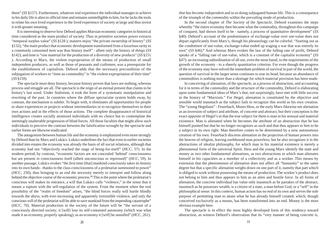them" (*SS* §157). Furthermore, whatever real experience the individual manages to achieve in his daily life is alien to official time and remains unintelligible to him, for he lacks the tools to relate his own lived experience to the lived experience of society at large and thus invest it with greater meaning.

It is interesting to observe how Debord applies Marxian economic categories to historical time considered as the main product of society. Thus in primitive societies power extracts "temporal surplus value" (*SS* §128 ); masters enjoy "the private ownership of history" (*SS* §132); "the main product that economic development transformed from a luxurious rarity to a commonly consumed item was thus history itself" - albeit only the history of *things* (*SS* §142); and time is "raw material for the production of a diversity of new products" (*SS* §151 ). According to Marx, the violent expropriation of the means of production of small independent producers, as well as those of peasants and craftsmen, was a prerequisite for the establishment of capitalism. Debord adds that the necessary precondition of the subjugation of workers to "time-as-commodity" is "the violent expropriation of their time" (*SS* §159).

The spectacle must deny history, because history proves that laws are nothing, whereas process and struggle are all. The spectacle is the reign of an eternal present that claims to be history's last word. Under Stalinism, it took the form of a systematic manipulation and rewriting of the past. In countries where the diffuse spectacular system holds sway, by contrast, the mechanism is subtler. To begin with, it eliminates all opportunities for people to share experiences or projects without intermediaries or to recognize themselves in their own actions and in the effects of those actions. The complete disappearance of historical intelligence creates socially atomized individuals with no choice but to contemplate the seemingly unalterable progression of blind forces. All those faculties that might allow such individuals to perceive the contrast between the falsification wrought by the spectacle and earlier forms are likewise eradicated.

The antagonism between human life and the economy is emphasized even more strongly by Debord than by Marx and Lukács. Lukács underlines the fact that even in earlier societies divided into estates the economy was already the basis of all social relations, although that economy had not "objectively reached the stage of being-for-itself" (*HCC*, 57). In the modern period, by contrast, "economic factors are not concealed 'behind' consciousness but are present *in* consciousness itself (albeit unconscious or repressed)" (*HCC*, 59). In another passage, Lukács evokes "the first time [that] mankind consciously takes its history into its own hands - thanks to the class consciousness of a proletariat summoned to power" (*HCC*, 250), thus bringing to an end the necessity merely to interpret and follow along behind the objective course of the economic process.**<sup>33</sup>**This is the point where the proletariat's conscious will makes its entrance, a will that Lukács calls "violence," in the sense that it means a rupture with the self-regulation of the system. From the moment when the real possibility of the "realm of freedom" arises, "the blind forces really will hurtle blindly towards the abyss, with ever-increasing and apparently irresistible violence, and only the conscious will of the proletariat will be able to save mankind from the impending catastrophe" (*HCC*, 70). Material production in the society of the future will be "the servant of a consciously directed society; it [will] lose its self-contained autonomy (which was what made it an economy, properly speaking); as an economy it [will] be annulled" (*HCC*, 261).

*that has become independent* and in so doing subjugated human life. This is a consequence of the triumph of the *commodity* within the prevailing mode of production.

In the second chapter of *The Society of the Spectacle,* Debord examines the steps whereby "the entire economy then became what the commodity, throughout this campaign of conquest, had shown itself to be - namely, a process of quantitative development" (*SS* §40). Debord's account of the predominance of exchange-value over use-value does not depart significantly from Marx's, though his phraseology can be colorful: "Starting out as the condottiere of use-value, exchange-value ended up waging a war that was entirely its own" (*SS* §46).**<sup>6</sup>** And whereas Marx evokes the law of the falling rate of profit, Debord speaks of a "falling rate of use-value, which is a constant of the capitalist economy" (*SS* §47): an increasing subordination of all use, even the most banal, to the requirements of the growth of the economy - to a sheerly quantitative criterion. For even though the progress of the economy may have solved the immediate problem of survival in part of the world, the question of survival in the larger sense continues to rear its head, because an abundance of commodities is nothing more than a shortage for which material provision has been made.

In conceiving of alienation, of the spectacle, as a process of abstraction, and accounting for it in terms of the commodity and the *structure* of the commodity, Debord is elaborating upon some fundamental ideas of Marx's that, not surprisingly, have met with little success in the history of "Marxism." For Hegel, alienation is constituted by the objective and sensible world inasmuch as the subject fails to recognize this world as his own creation. The "young Hegelians" - Feuerbach, Moses Hess, or the early Marx-likewise see alienation as an inversion of subject and attribute, of concrete and abstract, but their conception is the exact opposite of Hegel's in that the true subject for them is man in his sensual and material existence. Man is alienated when he becomes the attribute of an abstraction that he has himself posited but that he no longer recognizes as such and that thus appears to him to be a subject in its own right. Man therefore comes to be determined by a now autonomous creation of his own. Feuerbach discerns alienation in the projection of human powers into the heaven of religion, leaving earthbound man powerless; but he also recognizes it in the abstractions of idealist philosophy, for which man in his material existence is merely a phenomenal form of the universal Spirit. Hess and the young Marx identify the state and money as two other fundamental alienations, as two abstractions in which man alienates himself in his capacities as a member of a collectivity and as a worker. This means by extension that the phenomenon of alienation does not affect all "humanity" to the same degree but that a specific alienation weighs down on one part of it, namely that part which is obliged to work without possessing the means of production. The worker's product does not belong to him and thus appears to him as an alien and hostile force. In all forms of alienation, the concrete individual has value only inasmuch as he partakes of the abstract, inasmuch as he possesses wealth, is a citizen of a state, a man before God, or a "self" in the philosophical sense. In this context, human action has no end of its own and serves the sole purpose of permitting man to attain what he has already himself created, which, though conceived exclusively as a means, has been transformed into an end. Money is the most obvious example here.

The spectacle is in effect the most highly developed form of this tendency toward abstraction, as witness Debord's observation that its "very manner of being concrete is,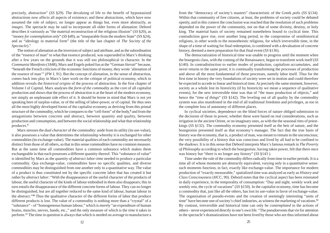precisely, abstraction" (*SS* §29). The devaluing of life to the benefit of hypostasized abstractions now affects all aspects of existence; and these abstractions, which have now assumed the role of subject, no longer appear as things but, even more abstractly, as *images*. The spectacle may be said to incorporate all older forms of alienation: Debord describes it variously as "the material reconstruction of the religious illusion" (*SS* §20), as "money *for contemplation only*" (*SS* §49), as "inseparable from the modern State" (SS §24), and as "ideology in material form" (the title of the last chapter of *The Society of the Spectacle*).**<sup>7</sup>**

The notion of alienation as the inversion of subject and attribute, and as the subordination of the "essence of man" to what that essence produced, was superseded in Marx's thinking after a few years on the grounds that it was still too philosophical in character. In the *Communist Manifesto* (1848), Marx and Engels poked fun at the "German *literati*" because, "beneath the French criticism of the economic functions of money, they wrote 'alienation of the essence of man'" (*PW I*, 91). But the concept of alienation, in the sense of abstraction, comes back into play in Marx's later work on the critique of political economy, which in addition reveals the *historical origins* of the process of abstraction. In the first chapter of Volume I of *Capital*, Marx analyses the *form of the commodity* as the core of all capitalist production and shows that the process of abstraction is at the heart of the modern economy, not simply an unpleasant side effect of it. It should be borne in mind that Marx is not yet speaking here of surplus-value, or of the selling of labor-power, or of capital. He thus sees all the most highly developed forms of the capitalist economy as deriving from this primal structure of the commodity, which he compares to the "cell-form" of the body,**<sup>8</sup>** and from the antagonisms between concrete and abstract, between quantity and quality, between production and consumption, and between the social relationship and what that relationship produces.**<sup>9</sup>**

Marx stresses the *dual character* of the commodity: aside from its utility (its use-value), it also possesses a value that determines the relationship whereby it is exchanged for other commodities (its exchange-value). The material qualities of each commodity are necessarily distinct from those of all others, so that in this sense commodities have no common measure. But at the same time all commodities have a common substance which makes them exchangeable in that each possesses a different quantity thereof. This "substance of value" is identified by Marx as the *quantity of abstract labor-time* needed to produce a particular commodity. Qua exchange-value, commodities have no specific qualities, and diverse commodities may be distinguished from one another only in a quantitative way. The value of a product is thus constituted not by the specific concrete labor that has created it but rather by *abstract labor*: "With the disappearance of the useful character of the products of labour, the useful character of the kinds of labour embodied in them also disappears; this in turn entails the disappearance of the different concrete forms of labour. They can no longer be distinguished, but are all together reduced to the same kind of labour, human labour in the abstract."**<sup>10</sup>** Thus the qualitative character of the different forms of labor that produce different products is lost. The value of a commodity is nothing more than a "crystal" of a "substance" - of "homogeneous human labour," which is merely "an expenditure of human brains, muscles, nerves, hands, etc.," and the only measure of which is the *time* it takes to perform.**<sup>11</sup>** The time in question is always that which is needed on average to manufacture a from the "democracy of society's masters" characteristic of the Greek *polis* (*SS* §134). Within that community of free citizens, at least, the problems of society could be debated openly, and in this context the conclusion was reached that the resolution of such problems depended on the power of the community, not on that of some divinity, destiny, or holy king. The material basis of society remained nonetheless bound to cyclical time. This contradiction gave rise, over another long period, to the compromise of semihistorical religions, in other words to the monotheistic religions, for which irreversible time, in the shape of a time of waiting for final redemption, is combined with a devaluation of concrete history, deemed a mere preparation for that final event (*SS* §136).

The democratization of historical time was unable to progress until the moment when the bourgeois class, with the coming of the Renaissance, began to transform work itself (*SS* §140). In contradistinction to earlier modes of production, capitalism *accumulates*, and never returns to the same point; it is continually transforming the processes of production and above all the most fundamental of those processes, namely labor itself. Thus for the first time in history the very foundations of society were set in motion and could therefore be expected to accede to linear and historical time. At precisely the same moment, however, society as a whole lost its historicity (if by historicity we mean a sequence of qualitative events), for the new irreversible time was that of "the mass production of objects," and hence the "*time of things*" (*SS* §142). The leveling out of all quality by the commodity system was also manifested in the end of all traditional freedoms and privileges, as too in the complete loss of autonomy of different places.

In cyclical societies, dependence on the blind forces of nature obliged submission to the decisions of those in power, whether these were based on real considerations, such as irrigation in the ancient Orient, or on imaginary ones, as with the the seasonal rites of priestkings (*SS* §132). The commodity economy presented itself as the heir of nature, and the bourgeoisie presented itself as that economy's manager. The fact that the true basis of history was the economy, that is, a product of man, was meant to remain in the unconscious; the very possibility of a history that was conscious and lived by all had to be confined to the shadows. It is in this sense that Debord interprets Marx's famous remark in *The Poverty of Philosophy* according to which the bourgeoisie, having taken power, felt that there once was history but "there is no longer any history" (*SS* §143 ).

Time under the rule of the commodity differs radically from time in earlier periods. It is a time all of whose moments are abstractly equivalent, varying only in a quantitative sense: such moments function, in fact, exactly like exchange-value. The importance for modern production of "exactly measurable," spatialized time was analyzed as early as *History and Class Consciousness* (*HCC*, 90). Debord notes that the cyclical aspect has been reinstated in daily experience, in the temporality of consumption: "Day and night, weekly work and weekly rest, the cycle of vacations" (*SS* §150). In the capitalist economy, time has become a commodity that, just like all the others, has lost its use-value in favor of exchange-value. The organization of pseudo-events and the creation of seemingly interesting "units of time" have become one of society's chief industries, as witness the marketing of vacations.**<sup>32</sup>** By contrast, irreversible and historical time can only be *contemplated* in the actions of others - never experienced directly in one's own life. "The pseudoevents that vie for attention in the spectacle's dramatizations have not been lived by those who are thus informed about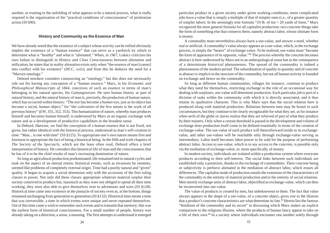another, or trusting to the unfolding of what appears to be a natural process, what is really required is the organization of the "practical conditions of consciousness" of proletarian action (*SS* §90).

#### **History and Community as the Essence of Man**

We have already noted that the existence of a subject whose activity can be reified obviously implies the existence of a "human essence" that can serve as a yardstick by which to determine what is "healthy" and what is "alienated." When, in 1967, Lukács criticizes his own failure to distinguish in *History and Class Consciousness* between alienation and reification, he states that in reality alienation exists only when "the essence of man [comes] into conflict with his existence" (*HCC*, xxiv), and from this he deduces the need for a "Marxist ontology."

Debord nowhere considers constructing an "ontology," but this does not necessarily rule out his having any conception of a "human essence." Marx, in his *Economic and Philosophical Manuscripts of 1844*, conceives of such an essence in terms of man's belonging to his natural species, his *Gattungswesen*. He sees human history as part of natural history, and the natural history of man is, precisely, the production of human nature, which has occurred within history: "The eye has become a *human* eye, just as its *object* has become a social, *human* object," for "the *cultivation* of the five senses is the work of all previous history" (*EW*, 355, 352, 353). This humanization of nature, whereby man produces himself and becomes human himself, is understood by Marx as an organic exchange with nature and as a development of productive capabilities in the broadest sense.

In Debord, likewise, we find the conception of a human essence that is not fixed, not given, but rather identical with the historical process, understood as man's self-creation in time: "Man... is one with time" (SS §125). To appropriate one's own nature means first and foremost to appropriate the fact of being a historical being. In the fifth and sixth chapters of *The Society of the Spectacle*, which are the least often read, Debord offers a brief interpretation of history. He considers this historical life of man and the consciousness that he has of it to be the chief results of man's increasing domination of nature.

So long as agricultural production predominated, life remained tied to natural cycles and took on the aspect of an eternal return; historical events, such as invasions by enemies, seemed like problems of completely external origin. Time had a purely natural and "given" quality. It began to acquire a social dimension only with the accession of the first ruling classes to power. Not only did these classes appropriate whatever material surplus their society contrived to produce but, inasmuch as they were not obliged to spend all their time working, they were also able to give themselves over to adventures and wars (*SS* §128). Historical time came into existence at the pinnacle of society even as, at the bottom, things remained unchanging from generation to generation (*SS* §132). Historical time meant a time that was irreversible, a time in which events were unique and never repeated themselves. Out of this time came a wish to remember such events and to transmit that memory; this was the earliest form of historical consciousness. For a small number of people, history was already taking on a direction, a sense, a meaning. The first attempts to understand it emerged

particular product in a given society under given working conditions; more complicated jobs have a value that is simply a multiple of that of simpler ones (i.e., of a greater quantity of simpler labor). In the seemingly trite formula "10 lb. of tea  $= 20$  yards of linen," Marx recognized the most general formula for all capitalist production: two concrete things take the form of something else that connects them, namely abstract labor, whose ultimate form is money.

A commodity must nevertheless always have a use-value, and answer a need, whether real or artificial. A commodity's value always appears as a use-value, which, in the exchange process, is simply the "bearer" of exchange-value. To be realized, use-value must "become the form of appearance of its opposite, value."**<sup>12</sup>** The process whereby the concrete becomes abstract is here understood by Marx not in an anthropological sense but as the consequence of a determinate *historical* phenomenon. The spread of the commodity is indeed a phenomenon of the modern period. The subordination of quality to quantity and of concrete to abstract is implicit in the structure of the commodity, but not all human activity is founded on exchange and hence on the commodity.

So long as different human communities, villages for instance, continue to produce what they need for themselves, restricting exchange to the role of an occasional way for dealing with surpluses, use-value will determine production. Each particular job is part of a division of tasks within the community with which it is directly associated, and it thus retains its qualitative character. This is why Marx says that the social relation here is produced *along with* material production. Relations between men may be brutal in such circumstances, but they continue to be clearly recognizable for what they are, as for instance when serfs of the glebe or slaves realize that they are relieved of part of what they produce by their masters. Only when a certain threshold is passed in the development and volume of exchange does production itself come to be defined essentially in terms of the creation of exchange-value. The use-value of each product will thenceforward reside in its exchangevalue, and other use-values will be reachable only through exchange-value serving as intermediary. Labor itself becomes labor-power to be sold for the purpose of performing abstract labor. Access to use-value, which is to say access to the concrete, is possible only via the mediation of exchange-value, or, more specifically, of money.

In modern society, individuals are isolated within a production system where everyone produces according to their self-interest. The social links between such individuals are established only a posteriori, thanks to the exchange of commodities. Their concrete being or subjectivity is perforce alienated in the mediation of abstract labor, which erases all differences. The capitalist mode of production entails the extension of the characteristics of the commodity to the entirety of material production and to the entirety of social relations. Men merely exchange units of abstract labor, objectified as exchange-value, which can then be reconverted into use-value.

The value of products is created by men, but unbeknownst to them. The fact that value always appears in the shape of a use-value, of a concrete object, gives rise to the illusion that a product's concrete characteristics are what determine its fate.**<sup>13</sup>** Herein lies the famous "fetishism of the commodity and its secret" in discussing which Marx makes an explicit comparison to the religious illusion, where the products of human fancy appear to take on a life of their own.**<sup>14</sup>** In a society where individuals encounter one another solely through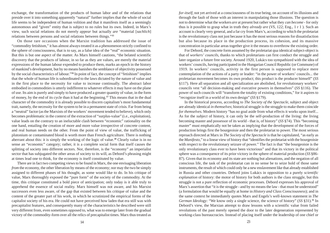exchange, the transformation of the products of human labor and of the relations that preside over it into something apparently "natural" further implies that the whole of social life seems to be independent of human volition and that it manifests itself as a seemingly autonomous and "given" entity that is subject to no rules but its own. Indeed, in Marx's view, such social relations do not merely *appear* but actually *are* "material [*sachlich*] relations between persons and social relations between things."**<sup>15</sup>**

On those rare occasions when the Marxist tradition has addressed the issue of "commodity fetishism," it has almost always treated it as a phenomenon strictly confined to the sphere of consciousness, that is to say, as a false idea of the "real" economic situation. But this is but one aspect of the matter. As Marx himself cautions, "the belated scientific discovery that the products of labour, in so far as they are values, are merely the material expressions of the human labour expended to produce them, marks an epoch in the history of mankind's development, but by no means banishes the semblance of objectivity possessed by the social characteristics of labour."**<sup>16</sup>** In point of fact, the concept of "fetishism" implies that the whole of human life is subordinated to the laws dictated by the nature of value and in the first place to the necessity for value to increase continually. The abstract labor embodied in commodities is utterly indifferent to whatever effects it may have on the plane of use. Its aim is purely and simply to have produced a greater quantity of value, in the form of money, by the end of its cycle than it had at the beginning.**<sup>17</sup>** This means that in the dual character of the commodity it is already possible to discern capitalism's most fundamental trait, namely, the necessity for the system to be in a permanent state of crisis. Far from being a "neutral" factor (as the Marxists of the workers' movement tended to believe), which only becomes problematic in the context of the extraction of "surplus-value" (i.e., exploitation), value leads on the contrary to an ineluctable clash between "economic" rationality on the one hand, entailing the creation of more and more value irrespective of concrete content, and real human needs on the other. From the point of view of value, the trafficking of plutonium or contaminated blood is worth more than French agriculture. There is nothing aberrant about this: it is simply the working of the logic of value.**<sup>18</sup>** Clearly value is in no sense an "economic" category; rather, it is a complete social form that itself causes the splitting of society into different sectors. Nor, therefore, is the "economy" an imperialist sector that has subjugated the other areas of society to its will, as Debord's phrasing might at times lead one to think, for the economy is itself constituted by value.

There are in fact two competing views to be found in Marx, the one envisaging liberation *from* the economy, the other liberation by means of the economy; nor may the two be simply assigned to different phases of his thought, as some would like to do. In his critique of value, Marx thoroughly exposed the "pure form" of the society of the commodity. At the time, this critique constituted a bold piece of anticipation; only today is it able truly to apprehend the essence of social reality. Marx himself was not aware, and his Marxist successors even less aware, of the gap that existed between his critique of value and the content of the greater part of his work, in which he scrutinized the empirical forms of the capitalist society of his era. He could not have perceived how laden that era still was with precapitalist features, and consequently many of the characteristics he described were still very different from, even sometimes opposed to, what was to emerge later from the gradual victory of the commodity-form over all the relics of precapitalist times. Marx thus treated as *for-itself*, not yet arrived at a consciousness of its true being, on account of its illusions and through the fault of those with an interest in manipulating those illusions. The question is not to determine what the workers *are* at present but rather what they *can become* - for only thus is it possible to grasp what in truth they *already are* (*VS*, 122; Eng., 1 r 1 ). Such an account is clearly very general, and a far cry from Marx's, according to which the proletariat is the revolutionary class not just because it has the most serious reasons for dissatisfaction but also because its place in the production process, its cohesion, and its massive concentration in particular areas together give it the means to overthrow the existing order.

For Debord, the concrete form assumed by the proletariat qua identical subject-object is that of *workers' councils*, thanks to which proletarians can first conduct the struggle and later organize a future free society. Around 1920, Lukács too sympathized with the idea of workers' councils, having participated in the Hungarian Council Republic (or Commune) of 1919. In workers' councils, activity in the first person is supposed to replace mere contemplation of the actions of a party or leader: "in the power of workers' councils... the proletarian movement becomes its own product; this product is the producer himself" (*SS* §117). Here all separation and all specialization are abolished, for revolutionary workers' councils vest "all decision-making and executive powers in themselves" (*SS* §116). The power of such councils will "transform the totality of existing conditions," for it aspires to "recognize itself in a world of its own design" (*SS* §179).

In the historical process, according to *The Society of the Spectacle,* subject and object are already identical *in themselves*; historical struggle is the struggle to make them coincide *for themselves*. Modern history "has no goal aside from what effects it works upon itself... As for the *subject* of history, it can only be the self-production of the living: the living becoming master and possessor of its world - that is, of history" (*SS* §74). This "becoming master" must emphatically not be taken as implying that the development of the forces of production brings first the bourgeoisie and then the proletariat to power. The most serious reproach directed at Marx in *The Society of the Spectacle* is that he capitulated, "as early as the *Manifesto*," to a linear view of history that "identifies the proletariat with the bourgeoisie with respect to the revolutionary seizure of power." The fact is that "the bourgeoisie is the only revolutionary class ever to have been victorious" and that its victory in the political sphere was a consequence of its prior victory in the sphere of material production (*SS* §86- 87). Given that its economy and its state are nothing but alienations, and the negation of all conscious life, the task of the proletariat can in no sense be to seize hold of those same instruments, the result of which could only be a new enslavement like that already established in Russia and other countries. Debord joins Lukács in opposition to a purely *scientific explanation* of history: the motor of history for both authors is the class struggle, but this struggle is not a pure reflection of economic processes. Debord expresses his approval of Marx's assertion that "it is the struggle - and by no means the law - that must be understood" (a formulation that would be equally at home in *History and Class Consciousness*); and in the same context he immediately quotes Marx and Engels's well-known statement in *The German Ideol*ogy: "We know only a single science, the science of history" (*SS* §31).**<sup>31</sup>** In Debord's view, the Marxian attempt to draw lessons with a scientific value from failed revolutions of the past merely opened the door to the later degeneration represented by working-class bureaucracies. Instead of placing itself under the leadership of one chief or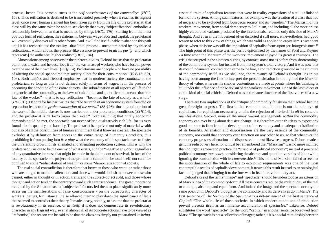process; hence "his consciousness is the *self-consciousness of the commodity*" (*HCC*, 168). Thus reification is destined to be transcended precisely when it reaches its highest level: once every human element has been taken away from the life of the proletariat, that class will by the same token be able to see clearly that every "objectification" embodies a relationship between men that is mediated by things (*HCC*, 176). Starting from the most obvious form of reification, the relationship between wage-labor and capital, the proletariat will eventually discover all its other forms. And it will find itself unable to abandon this path until it has reconstituted the totality - that "total process... uncontaminated by any trace of reification... which allows the process-like essence to prevail *in all its purity* [and which represents] the authentic, higher reality" (*HCC*, 184).

Almost alone among observers in the nineteen-sixties, Debord insists that the proletariat continues to exist, and he describes it as "the vast mass of workers who have lost all power over the use of their own lives" (*SS* §114). Proletarians are "people who have no possibility of altering the social space-time that society allots for their consumption" (*IS* 8/13; *SIA*, 108). Both Lukács and Debord emphasize that in modern society the *condition* of the proletarian, so long as this is not defined solely in terms of wages, is in the process of becoming the condition of the entire society. The subordination of all aspects of life to the exigencies of the commodity, to the laws of calculation and quantification, means that "the fate of the worker" - that is to say reification - "becomes the fate of society as a whole" (*HCC* 91). Debord for his part writes that "the triumph of an economic system founded on separation leads to the *proletarianization of the world*" (*SS* §26); thus a good portion of the work of the middle classes is now carried out under proletarian conditions (*SS* §114), and the proletariat is de facto larger than ever.**<sup>30</sup>** Even assuming that purely economic demands could be met, the spectacle can never offer a qualitatively rich life, for its very foundation is quantity and banality. The proletariat is deprived not only of material wealth but also of all the possibilities of human enrichment that it likewise creates. The spectacle excludes it by definition from access to the entire range of humanity's products, thus prohibiting it from putting into *free play* what the economy of the spectacle uses to foster the unrelenting growth of its alienated and alienating production system. This is why the proletariat turns out to be the enemy of what exists, and the "negative at work," regardless of any quantitative increase that might be made in the doling out of survival. In face of the totality of the spectacle, the project of the proletariat cannot but be total itself, nor can it be confined to some "redistribution of wealth" or some "democratization" of society.

The real social contradiction is therefore that between those who want, or rather those who are obliged to maintain alienation, and those who would abolish it; between those who cannot, either in thought or in action, transcend the subject-object split, and those whose thought and action tend on the contrary toward such a transcendence. The great importance assigned by the Situationists to "subjective" factors led them to place significantly more stress on the manifestations of false consciousness - on the bureaucratic character of workers' parties, for instance. It also allowed them to play down the significance of facts that seemed to contradict their theory. It made it easy, notably, to assume that the proletariat is revolutionary in its essence, or *in itself*: if it does not demonstrate its revolutionary character in any flagrant way, even if almost all of its concrete actions have to be viewed as "reformist," the reason can be said to be that the class has simply not yet attained its *being-*

essential traits of capitalism features that were in reality expressions of a still unfinished form of the system. Among such features, for example, was the creation of a class that had of necessity to be excluded from bourgeois society and its "benefits." The Marxism of the workers' movement, from social democracy to Stalinism, and including all the more or less highly elaborated variants produced by the intellectuals, retained only this side of Marx's thought. And even if the movement often distorted it still more, it nevertheless had good reason to refer to this view of things, which was valid as applied to capitalism's ascendant phase, when the issue was still the imposition of capitalist forms upon pre-bourgeois ones.**<sup>19</sup>** The high point of this phase was the period epitomized by the names of Ford and Keynes - a time when the Marxism of the workers' movement enjoyed its greatest triumphs. The crisis that erupted in the nineteen-sixties, by contrast, arose not as before from shortcomings of the commodity system but instead from that system's total victory. And it was now that its most fundamental contradiction came to the fore, a contradiction grounded in the structure of the commodity itself. As we shall see, the relevance of Debord's thought lies in his having been among the first to interpret the present situation in the light of the Marxian theory of value, whereas his shakier contentions are made at points where his thinking is still under the influence of the Marxism of the workers' movement. One of the last voices of an old kind of social criticism, Debord was at the same time one of the first voices of a new stage.

There are two implications of the critique of commodity fetishism that Debord had the great foresight to grasp. The first is that economic exploitation is not the sole evil of capitalism, for capitalism necessarily entails the rejection of life itself in *all* its concrete manifestations. Second, none of the many variant arrangements *within* the commodity economy can ever bring about decisive change. It is therefore quite fruitless to expect any good outcome to flow from the development of the economy and an adequate distribution of its benefits. Alienation and dispossession are the very essence of the commodity economy, nor could that economy ever function on any other basis, so that whenever the economy progresses, alienation and dispossession must likewise progress. Debord made a genuine rediscovery here, for it must be remembered that "Marxism" was no more inclined than bourgeois science to practice the "*critique* of political economy"; instead it practiced political economy *tout court*, considering the abstract and quantitative sides of labor while ignoring the contradiction with its *concrete* side.**<sup>20</sup>** This brand of Marxism failed to see that the subordination of the whole of life to economic requirements was one of the most contemptible results of capitalist development; it treated this result instead as an ontological fact and judged that bringing it to the fore was in itself a revolutionary act.

Debord's use of the terms "image" and "spectacle" should be understood as an extension of Marx's idea of the commodity-form. All these concepts reduce the multiplicity of the real to a unique, abstract, and equal form. And indeed the image and the spectacle occupy the same position in Debord's thought as the commodity and its derivatives do in Marx's. The first sentence of *The Society of the Spectacle* is a *détournement* of the first sentence of *Capital*: "The whole life of those societies in which modern conditions of production prevail presents itself as an immense accumulation of *spectacles*." Likewise, Debord substitutes the word "spectacle" for the word "capital" in another sentence borrowed from Marx: "The spectacle is not a collection of images; rather, it it's a social relationship between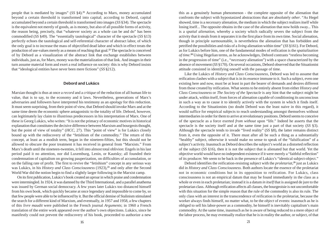people that is mediated by images" (*SS* §4).**<sup>21</sup>** According to Marx, money accumulated beyond a certain threshold is transformed into capital; according to Debord, capital accumulated beyond a certain threshold is transformed into images (*SS* §34). The spectacle is the equivalent not merely of goods, as is money, but also of all possible forms of activity, the reason being, precisely, that "whatever society as a whole can be and do" has been commodified (*SS* §49). The "essentially tautological" character of the spectacle (*SS* §13) perfectly echoes the tautological and self-referential character of abstract labor, of which the only goal is to increase the mass of objectified dead labor and which in effect treats the production of use-values merely as a means of reaching that goal.**<sup>22</sup>** The spectacle is conceived of by Debord as a visualization of the abstract link that exchange establishes between individuals, just as, for Marx, money was the materialization of that link. And images in their turn assume material form and exert a real influence on society: this is why Debord insists that "ideological entities have never been mere fictions" (*SS* §212).

#### **Debord and Lukács**

Marxian thought is thus at once a *record* and a *critique* of the reduction of all human life to value, that is to say, to the economy and it laws. Nevertheless, generations of Marx's adversaries and followers have interpreted his testimony as an *apology* for this reduction. It must seem surprising, from their point of view, that Debord should invoke Marx and at the same time deem the economic sphere antagonistic to the totality of life. Debord, however, can legitimately lay claim to illustrious predecessors in his interpretation of Marx. One of these is Georg Lukács, who writes: "It is not the primacy of economic motives in historical explanation that constitutes the decisive difference between Marxism and bourgeois thought, but the point of view of totality" (*HCC*, 27). This "point of view" is for Lukács closely bound up with the rediscovery of the "fetishism of the commodity." The return of this concept, at least as a modish term, began in the nineteen-fifties, but this should not be allowed to obscure the poor treatment it has received in general from "Marxists." From Marx's death until the nineteen-twenties, it fell into almost total oblivion: Engels in his last period paid it no attention, nor did Luxemburg, Lenin, or Kautsky; all founded their condemnation of capitalism on growing pauperization, on difficulties of accumulation, or on the falling rate of profit. The first to revive the "fetishism" concept in any serious way was Lukács, in his *History and Class Consciousness* (1923),**<sup>23</sup>** and only after the Second World War did the notion begin to find a slightly larger following in the Marxist camp.

On its first publication, Lukács's book created an uproar in which praise and condemnation were intermingled. In 1924, it was damned by the Third International, and a parallel anathema was issued by German social democracy. A few years later Lukács too distanced himself from his own book, which quickly became at once legendary and impossible to come by, so that few people were able to be influenced by it. But the official demise of Stalinism stimulated the search for a different kind of Marxism, and eventually, in 1957 and 1958, a few chapters of this *livre maudit* were published in the French journal *Arguments*; in 1960 a French translation of the entire work appeared over the author's own objections. Lukács, since he manifestly could not prevent the rediscovery of his book, proceeded to authorize a new

this as a genuinely human phenomenon - the complete opposite of the alienation that confronts the subject with hypostasized abstractions that are absolutely *other*. "As Hegel showed, time is a *necessary* alienation, the medium in which the subject realizes itself while losing itself... The opposite obtains in the case of the alienation that now holds sway... This is a *spatial alienation*, whereby a society which radically severs the subject from the activity that it steals from it separates it in the first place from its own time. Social alienation, though in principle surmountable, is nevertheless the alienation that has forbidden and petrified the possibilities and risks of a *living* alienation within time" (*SS* §161). For Debord, as for Lukács before him, one of the fundamental modes of reification is the *spatialization of time*.**<sup>28</sup>** Using Hegelian terms, as he acknowledges, Debord contrasts "restless becoming in the progression of time" (i.e., "*necessary* alienation") with a space characterized by the absence of movement (*SS* §170). On several occasions, Debord observed that the Situationist attitude consisted in identifying oneself with the passage of time.

Like the Lukács of *History and Class Consciousness*, Debord was led to assume that reification clashes with a subject that is in its essence immune to it. Such a subject, even one existing here and now, must be at least in part the bearer of demands and desires different from those created by reification. What seems to be entirely absent from either *History and Class Consciousness* or *The Society of the Spectacle* is any hint that the subject might be under attack, within itself, from forces of alienation capable of conditioning its unconscious in such a way as to cause it to identify actively with the system in which it finds itself. According to the Situationists (no doubt Debord was the least naive in this regard), it would suffice for empirical subjects to reach understanding amongst themselves without intermediaries in order for them to arrive at revolutionary positions. Debord seems to conceive of the spectacle as a force exerted *from without* upon "life." Indeed he asserts that the spectacle is the society itself and at the same time just a part of that society (*SS* §3). Although the spectacle tends to invade "lived reality" (*SS* §8), the latter remains distinct from it, even the opposite of it. There must after all be such a thing as a substantially "healthy" subject, otherwise it would make no sense to speak of the "falsification" of a subject's activity. Inasmuch as Debord describes the subject's world as a distorted reflection of the subject (*SS* §16), then it is not the subject that is alienated but that world. Yet the objective world would have no independent existence if it were merely a "faithful reflection" of its producer. We seem to be back in the presence of Lukács's "identical subject-object."

Debord identifies the reification-resisting subject with the *proletariat*,**<sup>29</sup>** just as Lukács did in *History and Class Consciousness*. Both authors locate the essence of the proletariat not in economic conditions but in its opposition to reification. For Lukács, class consciousness is not an empirical datum that may be found immediately in the class as a whole or even in each proletarian; instead it is a datum *in itself* that is assigned de jure to the proletarian class. Although reification affects all classes, the bourgeoisie is not uncomfortable with this situation for the simple reason that the rule of the commodity is also its rule. The only class with an interest in the transcendence of reification is the proletariat, because the worker always finds himself, no matter what, to be the *object* of events: inasmuch as he is obliged to sell his labor-power as a commodity, he himself is inevitably capitalism's main commodity. At the same time, inasmuch as he is aware of being reduced to a mere object of the labor process, he may eventually realize that he is in reality the author, or subject, of that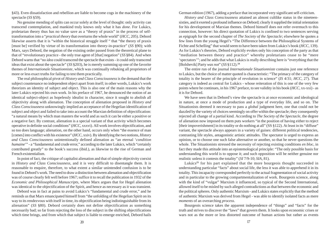§43). Even dissatisfaction and rebellion are liable to become cogs in the machinery of the spectacle (*SS* §59).

No genuine mending of splits can occur solely at the level of thought: only activity can transcend contemplation, and mankind truly knows only what it has *done*. For Lukács, proletarian theory thus has no value save as a "theory of praxis" in the process of selftransformation into a "*practical theory* that overturns the whole world" (*HCC*, 205). Debord likewise asserts that it is "within the historical struggle itself " that "the theory of praxis [must be] verified by virtue of its transformation into theory-in-practice" (*SS* §90); with Marx, says Debord, the negation of the existing order passed from the theoretical plane to that of "revolutionary practice - the only true agent of [that] negation" (*SS* §84). And when Debord warns that "no *idea* could transcend the spectacle that exists - it could only transcend ideas that exist about the spectacle" (*SS* §203), he is merely summing up one of the favorite themes of *Internationale Situationniste*, which was continually rebuking all proprietors of more or less exact truths for failing to test them practically.

The real philosophical pivot of *History and Class Consciousness* is the demand that the subject countenance no independent object apart from itself; in other words, Lukács's work theorizes an identity of subject and object. This is also one of the main reasons why the later Lukács rejected his own work. In his preface of 1967, he denounced the notion of an identical subject-object as hopelessly idealist in character, since it sought to abolish all objectivity along with alienation. The conception of alienation proposed in *History and Class Consciousness* unknowingly implied an acceptance of the Hegelian identification of subject and object and failed to take into account the Marxian definition of objectification: "a natural means by which man masters the world and as such it can be either a positive or a negative fact. By contrast, alienation is a special variant of that activity which becomes operative in definite social conditions" (*HCC*, xxxvi). All work involves objectification, and so too does language; alienation, on the other hand, occurs only when "the essence of man [comes] into conflict with his existence" (*HCC*, xxiv). By identifying the two notions, *History and Class Consciousness* unintentionally defined alienation as "an eternal '*condition humaine*'" - a "fundamental and crude error," according to the later Lukács, which "certainly contributed greatly" to the book's success (ibid.), as likewise to the rise of German and French existentialism.

In point of fact, the critique of capitalist alienation and that of simple objectivity coexist in *History and Class Consciousness*, and it is very difficult to disentangle them. It is reasonable to enquire, therefore, to what extent a similar unintended confusion is to be found in Debord's work. The need to draw a distinction between alienation and objectification was of course clearly felt well before 1967; suffice it to recall the publication in 1932 of the *Economic and Philosophical Manuscripts*, where Marx argues that for Hegel alienation was identical to the objectification of the Spirit, and hence as necessary as it was transient.

Debord was in fact at pains to avoid Lukács's "fundamental and crude error," and he reminds us that Marx emancipated himself from "the unfolding of the Hegelian Spirit on its way to its rendezvous with itself in time, its objectification being indistinguishable from its alienation" (*SS* §80). Debord certainly does not define objectification as something necessarily bad; so far from rejecting the loss of the subject in the shifting objectifications which time brings, and from which that subject is liable to emerge enriched, Debord hails German edition (1967), adding a preface that incorporated very significant self-criticism.

*History and Class Consciousness* attained an almost cultlike status in the nineteensixties, and it exerted a profound influence on Debord; clearly it supplied the initial orientation for his development of Marxian themes. Debord himself does not refer overmuch to this connection, however: his direct quotation of Lukics is confined to two sentences serving as epigraph for the second chapter of *The Society of the Spectacle*; elsewhere he quotes a few lines from the young Hegel's "The Difference between the Philosophical Systems of Fichte and Schelling" that would seem to have been taken from Lukács's book (*HCC*, 139). As for Lukács's theories, Debord explicitly evokes only his conception of the party as that "mediation between theory and practice" whereby proletarians cease to be "mere 'spectators'"; and he adds that what Lukács is really describing here is "everything that the [Bolshevik] Party *was not*" (*SS* §112).**<sup>24</sup>**

The entire run of the journal *Internationale Situationniste* contains just one reference to Lukács, but the choice of matter quoted is characteristic: "The primacy of the category of totality is the bearer of the principle of revolution in science" (*IS* 4/31; *HCC*, 27). That category is indeed as central for Lukács - whose reiteration of this is one of the very few points where he continues, in his 1967 preface, to see validity in his book (*HCC*, xx-xxi) - as it is for Debord.

We have seen that in Debord's view the spectacle is at once economic and ideological in nature, at once a mode of production and a type of everyday life, and so on. The Situationists deemed it necessary to pass a *global* judgment here, one that could not be dazzled by the variety of choices seemingly on offer within the spectacle; they consequently rejected all change of a partial kind. According to *The Society of the Spectacle*, the degree of alienation now imposed on them puts workers "in the position of having either to reject [their impoverishment] in its totality or do nothing at all" (SS §122). At least in its "diffuse" variant, the spectacle always appears in a variety of guises: different political tendencies, contrasting life styles, antagonistic artistic attitudes. The spectator is urged to express an opinion, or to choose one such false alternative or another, so that he never questions the whole. The Situationists stressed the necessity of rejecting existing conditions *en bloc*, in fact they made this attitude into an epistemological principle: "The only possible basis for understanding this world is to oppose it; and such opposition will be neither genuine nor realistic unless it contests the totality" (*SI* 7/9-10; *SIA*, 81).

Lukács<sup>25</sup> for his part explained that the more bourgeois thought succeeded in understanding particular "facts" about social life, the less it was able to apprehend it in its totality. This incapacity corresponded perfectly to the actual fragmentation of social activity and in particular to the growing compartmentalization of work. Bourgeois science, along with the kind of "vulgar" Marxism it influenced, so typical of the Second International, allowed itself to be misled by such alleged contradictions as that between the economic and the political spheres. Only authentic Marxism - and Lukács states explicitly that the method of authentic Marxism was derived from Hegel - was able to identify isolated facts as mere *moments* of an overarching *process*.

Bourgeois science takes the apparent independence of "things" and "facts" for the truth and strives to discover the "laws" that govern them. It looks upon economic crises or wars not as the more or less distorted outcome of human actions but rather as events